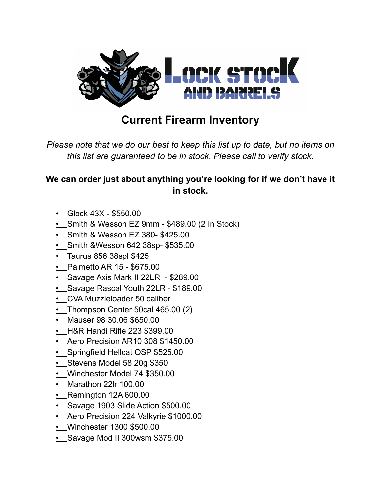

## **Current Firearm Inventory**

*Please note that we do our best to keep this list up to date, but no items on this list are guaranteed to be in stock. Please call to verify stock.*

## **We can order just about anything you're looking for if we don't have it in stock.**

- Glock 43X \$550.00
- Smith & Wesson EZ 9mm \$489.00 (2 In Stock)
- Smith & Wesson EZ 380- \$425.00
- Smith &Wesson 642 38sp- \$535.00
- Taurus 856 38spl \$425
- Palmetto AR 15 \$675.00
- Savage Axis Mark II 22LR \$289.00
- Savage Rascal Youth 22LR \$189.00
- CVA Muzzleloader 50 caliber
- Thompson Center 50cal 465.00 (2)
- Mauser 98 30.06 \$650.00
- H&R Handi Rifle 223 \$399.00
- Aero Precision AR10 308 \$1450.00
- Springfield Hellcat OSP \$525.00
- Stevens Model 58 20g \$350
- Winchester Model 74 \$350.00
- Marathon 22lr 100.00
- $\cdot$  Remington 12A 600.00
- Savage 1903 Slide Action \$500.00
- Aero Precision 224 Valkyrie \$1000.00
- Winchester 1300 \$500.00
- Savage Mod II 300wsm \$375.00